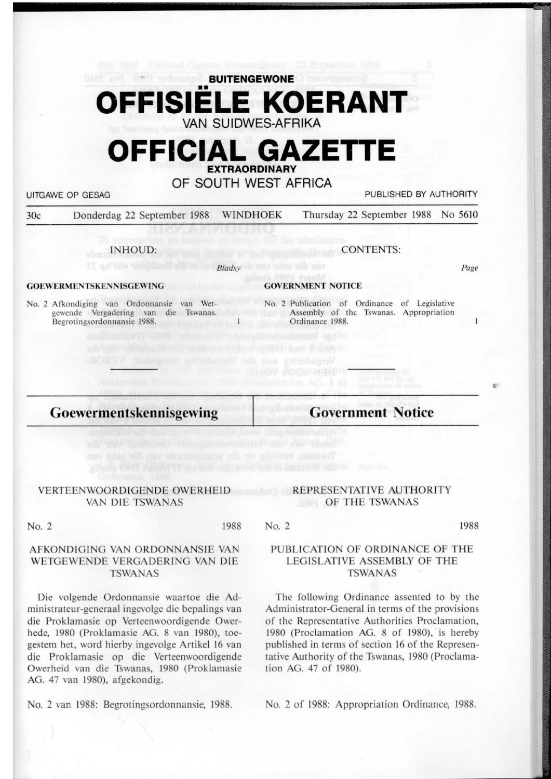## **BUITENGEWONE Denomination** •• **OFFISIELE KOERANT VAN SUIDWES-AFRIKA**

# **OFFICIAL GAZETTE EXTRAORDINARY**

**OF SOUTH WEST AFRICA** 

UITGAWE OP GESAG **PUBLISHED BY AUTHORITY** 

30c Donderdag 22 September 1988 WINDHOEK Thursday 22 September 1988 No 5610

*8/adsy* 

IN HOUD:

CONTENTS:

Page

1

 $E$ 

#### **GOEWERMENTSKENNISGEWING**

No. 2 Afkondiging van Ordonnansie van Wet-<br>
No. 2 Publication of Ordinance of Legislative Begrotingsordonnansie 1988.

#### **GOVERNMENT NOTICE**

gewende Yergadering van die Tswanas. Assembly of the Tswanas. Appropriation Ordinance 1988.

**Goewermen tskennisgewing** 

### **Government Notice**

#### VERTEENWOORDIGENDE OWERHEID REPRESENTATIVE AUTHORITY VAN DIE TSWANAS

# OF THE TSWANAS

No. 2 1988

#### AFKONDIGlNG VAN ORDONNANSIE VAN WETGEWENDE VERGADERING VAN DlE TSWANAS

Die volgende Ordonnansie waartoe die Administrateur-generaal ingevolge die bepalings van die Proklamasie op Verteenwoordigende Owerhede, 1980 (Proklamasie AG. 8 van 1980), toegestem het, word hierby ingevolge Artikel 16 van die Proklamasie op die Yerteenwoordigende Owerheid van die Tswanas, 1980 (Proklamasie AG. 47 van 1980), afgekondig.

No. 2 van 1988: Begrotingsordonnansie, 1988.

No. 2

1988

#### PUBLICATION OF ORDINANCE OF THE LEGISLATIVE ASSEMBLY OF THE TSWANAS

The following Ordinance assented to by the Administrator-General in terms of the provisions of the Representative Authorities Proclamation, 1980 (Proclamation AG. 8 of 1980), is hereby published in terms of section 16 of the Representative Authority of the Tswanas, 1980 (Proclamation AG. 47 of 1980).

No. 2 of 1988: Appropriation Ordinance, 1988.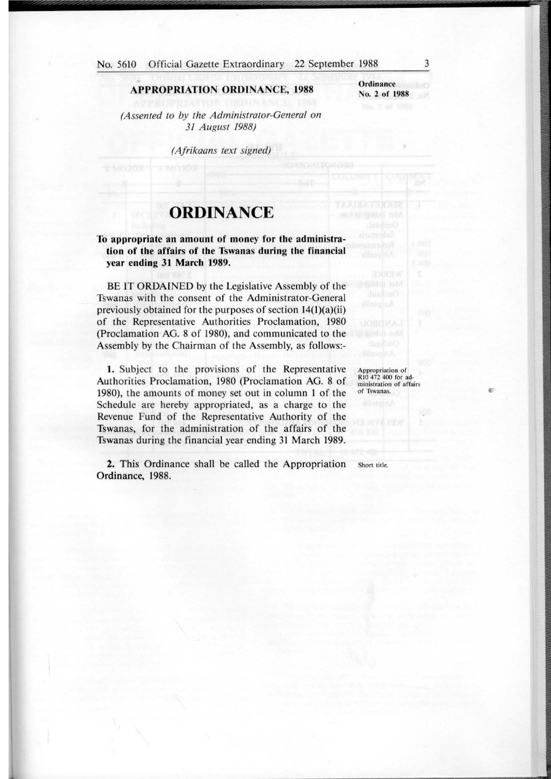#### **APPROPRIATION ORDINANCE, 1988**

**Ordinance** o. 2 of 1988

*(Assented to by the Administrator-General on 31 August 1988)* 

*(Afrikaans text signed)* 

## **ORDINANCE**

#### **To appropriate an amount of money for the administration of the affairs of the Tswanas during** the **financial year ending 31 March 1989.**

BE IT ORDAINED by the Legislative Assembly of the Tswanas with the consent of the Administrator-General previously obtained for the purposes of section  $14(1)(a)(ii)$ of the Representative Authorities Proclamation, 1980 (Proclamation AG. 8 of 1980), and communicated to the Assembly by the Chairman of the Assembly, as follows:-

). Subject to the provisions of the Representative Authorities Proclamation, 1980 (Proclamation **AG. 8** of 1980), the amounts of money set out in column I of the Schedule are hereby appropriated, as a charge to the Revenue Fund of the Representative Authority of the Tswanas, for the administration of the affairs of the Tswanas during the financial year ending 31 March 1989.

**2.** This Ordinance shall be called the Appropriation Short title. **Ordinance, 1988.** 

Appropriation of RIO 472 400 for administration of affairs of Tswanas.

**C"**